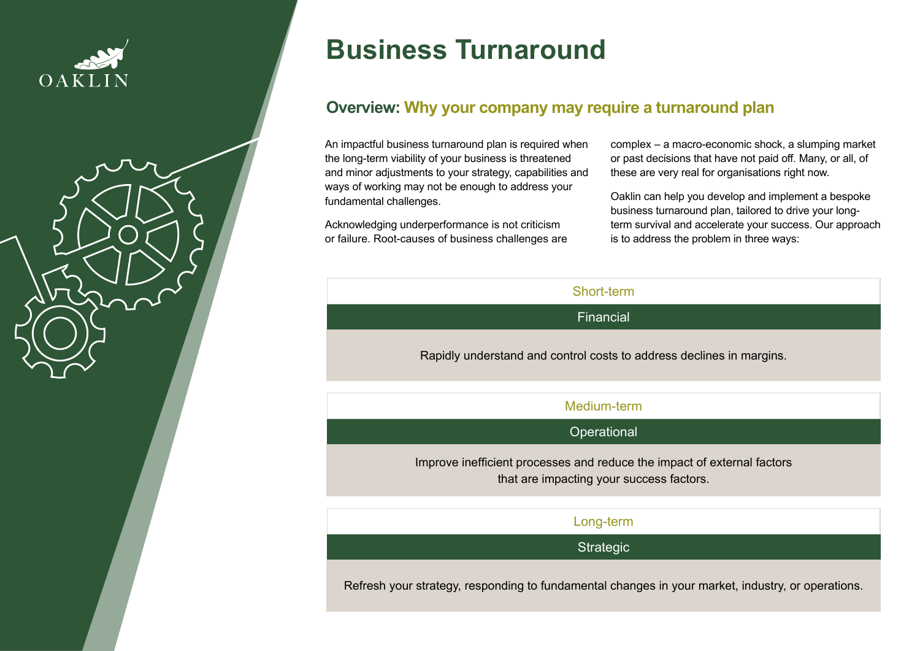



# **Business Turnaround**

# **Overview: Why your company may require a turnaround plan**

An impactful business turnaround plan is required when the long-term viability of your business is threatened and minor adjustments to your strategy, capabilities and ways of working may not be enough to address your fundamental challenges.

Acknowledging underperformance is not criticism or failure. Root-causes of business challenges are complex – a macro-economic shock, a slumping market or past decisions that have not paid off. Many, or all, of these are very real for organisations right now.

Oaklin can help you develop and implement a bespoke business turnaround plan, tailored to drive your longterm survival and accelerate your success. Our approach is to address the problem in three ways:

| Short-term                                                           |
|----------------------------------------------------------------------|
| Financial                                                            |
| Rapidly understand and control costs to address declines in margins. |
| Medium-term                                                          |
| Operational                                                          |

Improve inefficient processes and reduce the impact of external factors that are impacting your success factors.

| Long-term |  |
|-----------|--|
|-----------|--|

**Strategic** 

Refresh your strategy, responding to fundamental changes in your market, industry, or operations.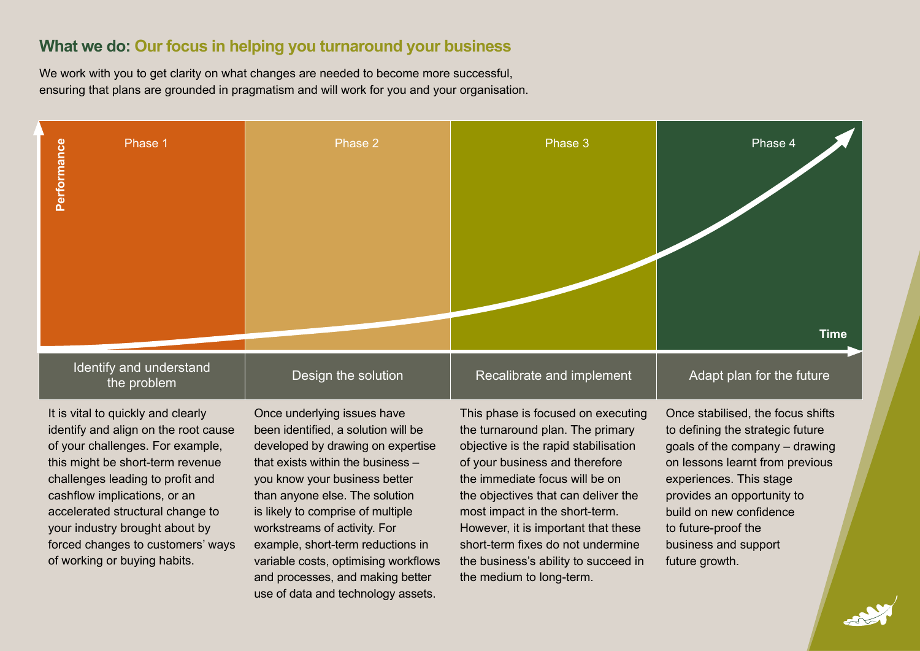# **What we do: Our focus in helping you turnaround your business**

We work with you to get clarity on what changes are needed to become more successful, ensuring that plans are grounded in pragmatism and will work for you and your organisation.



It is vital to quickly and clearly identify and align on the root cause of your challenges. For example, this might be short-term revenue challenges leading to profit and cashflow implications, or an accelerated structural change to your industry brought about by forced changes to customers' ways of working or buying habits.

Once underlying issues have been identified, a solution will be developed by drawing on expertise that exists within the business – you know your business better than anyone else. The solution is likely to comprise of multiple workstreams of activity. For example, short-term reductions in variable costs, optimising workflows and processes, and making better use of data and technology assets.

This phase is focused on executing the turnaround plan. The primary objective is the rapid stabilisation of your business and therefore the immediate focus will be on the objectives that can deliver the most impact in the short-term. However, it is important that these short-term fixes do not undermine the business's ability to succeed in the medium to long-term.

Once stabilised, the focus shifts to defining the strategic future goals of the company – drawing on lessons learnt from previous experiences. This stage provides an opportunity to build on new confidence to future-proof the business and support future growth.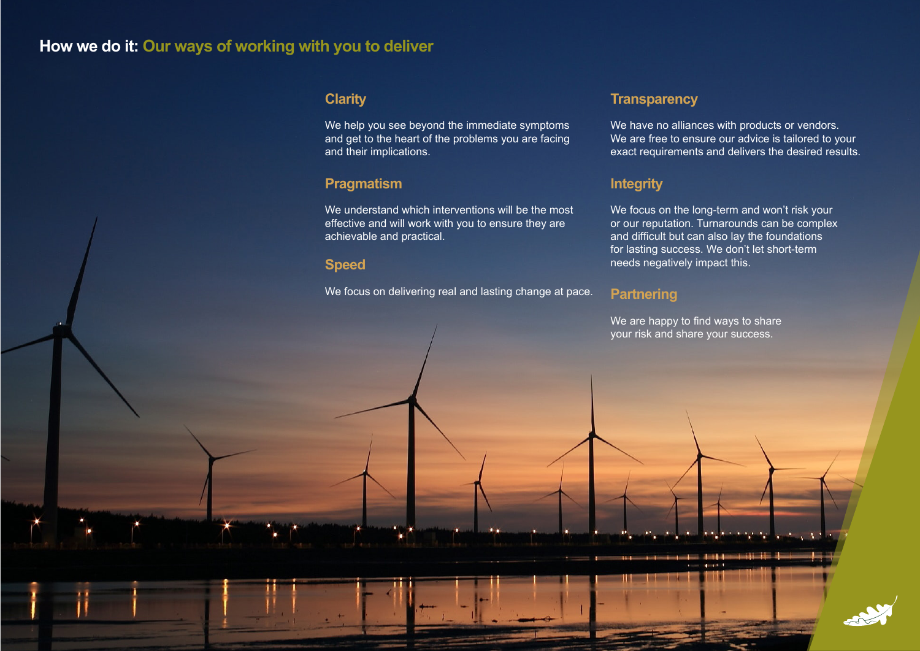# **How we do it: Our ways of working with you to deliver**

### **Clarity**

We help you see beyond the immediate symptoms and get to the heart of the problems you are facing and their implications.

#### **Pragmatism**

We understand which interventions will be the most effective and will work with you to ensure they are achievable and practical.

### **Speed**

We focus on delivering real and lasting change at pace.

#### **Transparency**

We have no alliances with products or vendors. We are free to ensure our advice is tailored to your exact requirements and delivers the desired results.

# **Integrity**

We focus on the long-term and won't risk your or our reputation. Turnarounds can be complex and difficult but can also lay the foundations for lasting success. We don't let short-term needs negatively impact this.

#### **Partnering**

We are happy to find ways to share your risk and share your success.